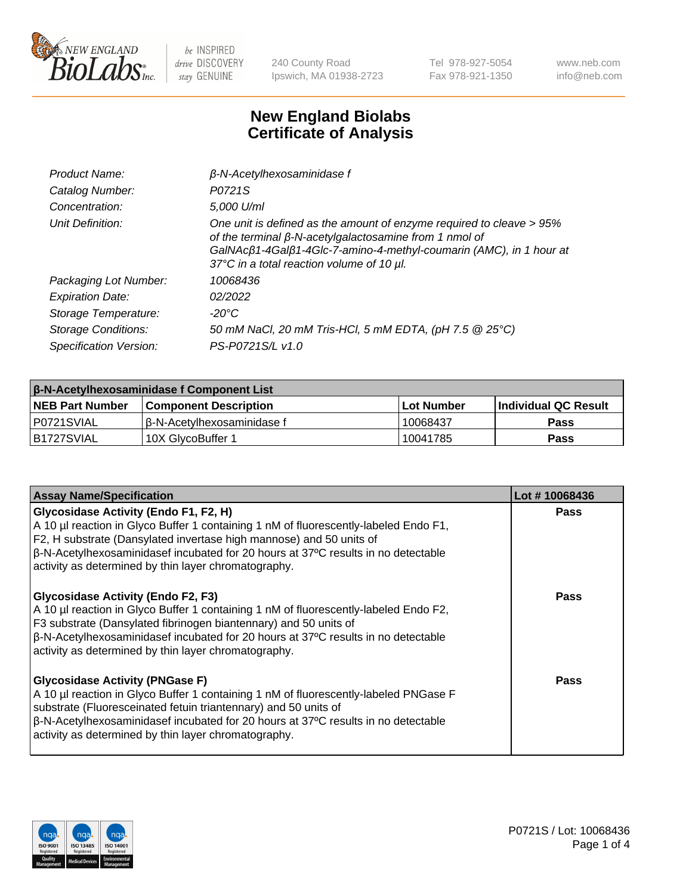

240 County Road Ipswich, MA 01938-2723 Tel 978-927-5054 Fax 978-921-1350 www.neb.com info@neb.com

## **New England Biolabs Certificate of Analysis**

| Product Name:              | $\beta$ -N-Acetylhexosaminidase f                                                                                                                                                                                                                        |
|----------------------------|----------------------------------------------------------------------------------------------------------------------------------------------------------------------------------------------------------------------------------------------------------|
| Catalog Number:            | P0721S                                                                                                                                                                                                                                                   |
| Concentration:             | 5,000 U/ml                                                                                                                                                                                                                                               |
| Unit Definition:           | One unit is defined as the amount of enzyme required to cleave > 95%<br>of the terminal $\beta$ -N-acetylgalactosamine from 1 nmol of<br>GalNAcß1-4Galß1-4Glc-7-amino-4-methyl-coumarin (AMC), in 1 hour at<br>37°C in a total reaction volume of 10 µl. |
| Packaging Lot Number:      | 10068436                                                                                                                                                                                                                                                 |
| <b>Expiration Date:</b>    | 02/2022                                                                                                                                                                                                                                                  |
| Storage Temperature:       | -20°C                                                                                                                                                                                                                                                    |
| <b>Storage Conditions:</b> | 50 mM NaCl, 20 mM Tris-HCl, 5 mM EDTA, (pH 7.5 @ 25°C)                                                                                                                                                                                                   |
| Specification Version:     | PS-P0721S/L v1.0                                                                                                                                                                                                                                         |

| <b>β-N-Acetylhexosaminidase f Component List</b> |                              |            |                             |  |  |
|--------------------------------------------------|------------------------------|------------|-----------------------------|--|--|
| <b>NEB Part Number</b>                           | <b>Component Description</b> | Lot Number | <b>Individual QC Result</b> |  |  |
| I P0721SVIAL                                     | l β-N-Acetvlhexosaminidase f | 10068437   | Pass                        |  |  |
| IB1727SVIAL                                      | 10X GlvcoBuffer 1            | 10041785   | <b>Pass</b>                 |  |  |

| <b>Assay Name/Specification</b>                                                                                                                                                                                                                                                                                                                                 | Lot #10068436 |
|-----------------------------------------------------------------------------------------------------------------------------------------------------------------------------------------------------------------------------------------------------------------------------------------------------------------------------------------------------------------|---------------|
| <b>Glycosidase Activity (Endo F1, F2, H)</b><br>A 10 µl reaction in Glyco Buffer 1 containing 1 nM of fluorescently-labeled Endo F1,<br>F2, H substrate (Dansylated invertase high mannose) and 50 units of<br>$\beta$ -N-Acetylhexosaminidasef incubated for 20 hours at 37°C results in no detectable<br>activity as determined by thin layer chromatography. | <b>Pass</b>   |
| <b>Glycosidase Activity (Endo F2, F3)</b><br>A 10 µl reaction in Glyco Buffer 1 containing 1 nM of fluorescently-labeled Endo F2,<br>F3 substrate (Dansylated fibrinogen biantennary) and 50 units of<br>$\beta$ -N-Acetylhexosaminidasef incubated for 20 hours at 37°C results in no detectable<br>activity as determined by thin layer chromatography.       | Pass          |
| <b>Glycosidase Activity (PNGase F)</b><br>A 10 µl reaction in Glyco Buffer 1 containing 1 nM of fluorescently-labeled PNGase F<br>substrate (Fluoresceinated fetuin triantennary) and 50 units of<br>$\beta$ -N-Acetylhexosaminidasef incubated for 20 hours at 37°C results in no detectable<br>activity as determined by thin layer chromatography.           | Pass          |

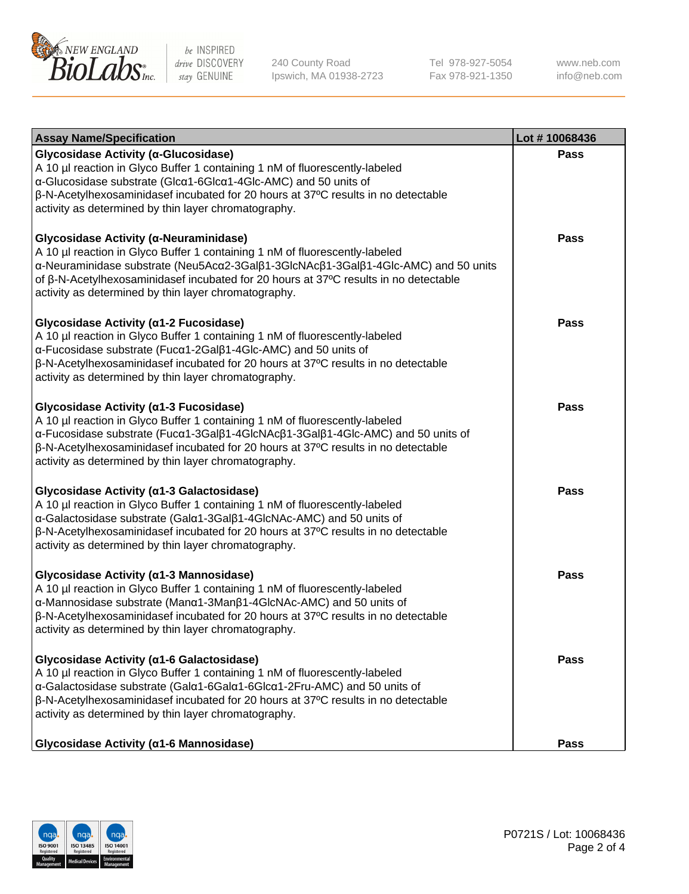

240 County Road Ipswich, MA 01938-2723 Tel 978-927-5054 Fax 978-921-1350 www.neb.com info@neb.com

| <b>Assay Name/Specification</b>                                                                                                                                                                                                                                                                                                                                              | Lot #10068436 |
|------------------------------------------------------------------------------------------------------------------------------------------------------------------------------------------------------------------------------------------------------------------------------------------------------------------------------------------------------------------------------|---------------|
| Glycosidase Activity (α-Glucosidase)<br>A 10 µl reaction in Glyco Buffer 1 containing 1 nM of fluorescently-labeled<br>$\alpha$ -Glucosidase substrate (Glc $\alpha$ 1-6Glc $\alpha$ 1-4Glc-AMC) and 50 units of<br>β-N-Acetylhexosaminidasef incubated for 20 hours at 37°C results in no detectable<br>activity as determined by thin layer chromatography.                | <b>Pass</b>   |
| Glycosidase Activity (α-Neuraminidase)<br>A 10 µl reaction in Glyco Buffer 1 containing 1 nM of fluorescently-labeled<br>α-Neuraminidase substrate (Neu5Acα2-3Galβ1-3GlcNAcβ1-3Galβ1-4Glc-AMC) and 50 units<br>of $\beta$ -N-Acetylhexosaminidasef incubated for 20 hours at 37 $\degree$ C results in no detectable<br>activity as determined by thin layer chromatography. | <b>Pass</b>   |
| Glycosidase Activity (α1-2 Fucosidase)<br>A 10 µl reaction in Glyco Buffer 1 containing 1 nM of fluorescently-labeled<br>α-Fucosidase substrate (Fucα1-2Galβ1-4Glc-AMC) and 50 units of<br>$\beta$ -N-Acetylhexosaminidasef incubated for 20 hours at 37 $\degree$ C results in no detectable<br>activity as determined by thin layer chromatography.                        | <b>Pass</b>   |
| Glycosidase Activity (a1-3 Fucosidase)<br>A 10 µl reaction in Glyco Buffer 1 containing 1 nM of fluorescently-labeled<br>α-Fucosidase substrate (Fucα1-3Galβ1-4GlcNAcβ1-3Galβ1-4Glc-AMC) and 50 units of<br>$\beta$ -N-Acetylhexosaminidasef incubated for 20 hours at 37 $\degree$ C results in no detectable<br>activity as determined by thin layer chromatography.       | Pass          |
| Glycosidase Activity (a1-3 Galactosidase)<br>A 10 µl reaction in Glyco Buffer 1 containing 1 nM of fluorescently-labeled<br>α-Galactosidase substrate (Galα1-3Galβ1-4GlcNAc-AMC) and 50 units of<br>$\beta$ -N-Acetylhexosaminidasef incubated for 20 hours at 37 $\degree$ C results in no detectable<br>activity as determined by thin layer chromatography.               | <b>Pass</b>   |
| Glycosidase Activity (α1-3 Mannosidase)<br>A 10 µl reaction in Glyco Buffer 1 containing 1 nM of fluorescently-labeled<br>α-Mannosidase substrate (Manα1-3Manβ1-4GlcNAc-AMC) and 50 units of<br>β-N-Acetylhexosaminidasef incubated for 20 hours at 37°C results in no detectable<br>activity as determined by thin layer chromatography.                                    | <b>Pass</b>   |
| Glycosidase Activity (α1-6 Galactosidase)<br>A 10 µl reaction in Glyco Buffer 1 containing 1 nM of fluorescently-labeled<br>α-Galactosidase substrate (Galα1-6Galα1-6Glcα1-2Fru-AMC) and 50 units of<br>$\beta$ -N-Acetylhexosaminidasef incubated for 20 hours at 37 $\degree$ C results in no detectable<br>activity as determined by thin layer chromatography.           | Pass          |
| Glycosidase Activity (α1-6 Mannosidase)                                                                                                                                                                                                                                                                                                                                      | Pass          |

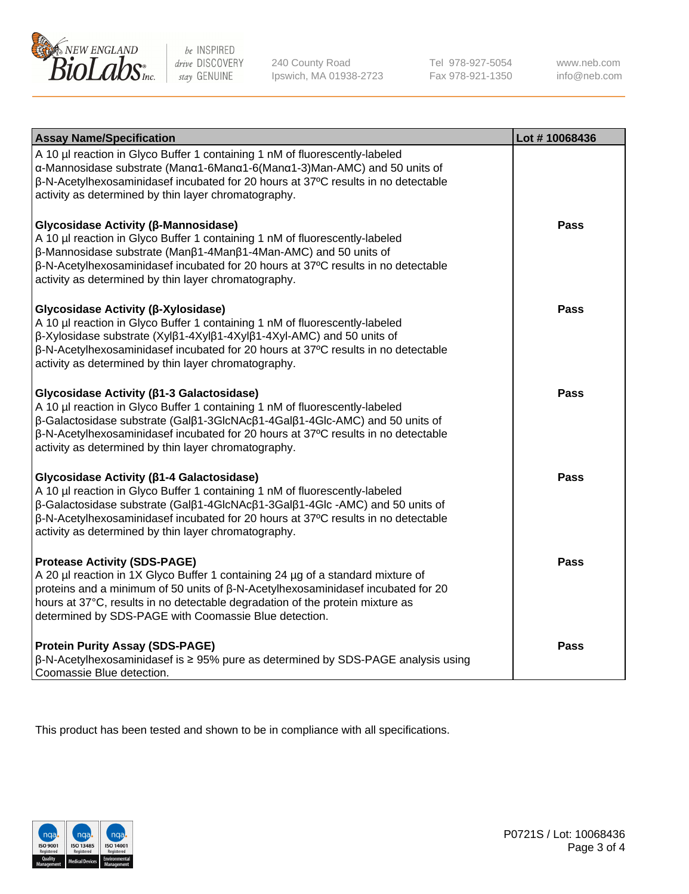

240 County Road Ipswich, MA 01938-2723 Tel 978-927-5054 Fax 978-921-1350 www.neb.com info@neb.com

| <b>Assay Name/Specification</b>                                                                                                                                                                                                                                                                                                                             | Lot #10068436 |
|-------------------------------------------------------------------------------------------------------------------------------------------------------------------------------------------------------------------------------------------------------------------------------------------------------------------------------------------------------------|---------------|
| A 10 µl reaction in Glyco Buffer 1 containing 1 nM of fluorescently-labeled<br>α-Mannosidase substrate (Manα1-6Manα1-6(Manα1-3)Man-AMC) and 50 units of<br>β-N-Acetylhexosaminidasef incubated for 20 hours at 37°C results in no detectable<br>activity as determined by thin layer chromatography.                                                        |               |
| Glycosidase Activity (β-Mannosidase)<br>A 10 µl reaction in Glyco Buffer 1 containing 1 nM of fluorescently-labeled<br>β-Mannosidase substrate (Manβ1-4Manβ1-4Man-AMC) and 50 units of<br>β-N-Acetylhexosaminidasef incubated for 20 hours at 37°C results in no detectable<br>activity as determined by thin layer chromatography.                         | <b>Pass</b>   |
| Glycosidase Activity (β-Xylosidase)<br>A 10 µl reaction in Glyco Buffer 1 containing 1 nM of fluorescently-labeled<br>β-Xylosidase substrate (Xylβ1-4Xylβ1-4Xylβ1-4Xyl-AMC) and 50 units of<br>β-N-Acetylhexosaminidasef incubated for 20 hours at 37°C results in no detectable<br>activity as determined by thin layer chromatography.                    | <b>Pass</b>   |
| Glycosidase Activity (β1-3 Galactosidase)<br>A 10 µl reaction in Glyco Buffer 1 containing 1 nM of fluorescently-labeled<br>β-Galactosidase substrate (Galβ1-3GlcNAcβ1-4Galβ1-4Glc-AMC) and 50 units of<br>β-N-Acetylhexosaminidasef incubated for 20 hours at 37°C results in no detectable<br>activity as determined by thin layer chromatography.        | <b>Pass</b>   |
| Glycosidase Activity (β1-4 Galactosidase)<br>A 10 µl reaction in Glyco Buffer 1 containing 1 nM of fluorescently-labeled<br>β-Galactosidase substrate (Galβ1-4GlcNAcβ1-3Galβ1-4Glc -AMC) and 50 units of<br>β-N-Acetylhexosaminidasef incubated for 20 hours at 37°C results in no detectable<br>activity as determined by thin layer chromatography.       | <b>Pass</b>   |
| <b>Protease Activity (SDS-PAGE)</b><br>A 20 µl reaction in 1X Glyco Buffer 1 containing 24 µg of a standard mixture of<br>proteins and a minimum of 50 units of $\beta$ -N-Acetylhexosaminidasef incubated for 20<br>hours at 37°C, results in no detectable degradation of the protein mixture as<br>determined by SDS-PAGE with Coomassie Blue detection. | <b>Pass</b>   |
| <b>Protein Purity Assay (SDS-PAGE)</b><br>ß-N-Acetylhexosaminidasef is ≥ 95% pure as determined by SDS-PAGE analysis using<br>Coomassie Blue detection.                                                                                                                                                                                                     | <b>Pass</b>   |

This product has been tested and shown to be in compliance with all specifications.